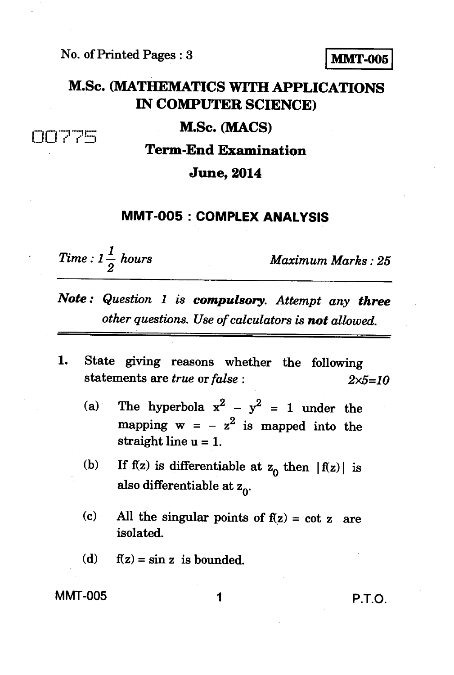**No. of Printed Pages : 3 MMT-005** 

# **M.Sc. (MATHEMATICS WITH APPLICATIONS IN COMPUTER SCIENCE)**

### **M.Sc. (MACS)**

**n** 0 7 5

**Term-End Examination** 

#### **June, 2014**

## **MMT-005 : COMPLEX ANALYSIS**

 $Time: 1\frac{1}{2}$  hours **Maximum Marks** : 25

- *Note : Question 1 is compulsory. Attempt any three other questions. Use of calculators is not allowed.*
- *1.* **State giving reasons whether the following statements are** *true* **or** *false : 2x5=10* 
	- (a) The hyperbola  $x^2 y^2 = 1$  under the mapping  $w = -z^2$  is mapped into the **straight line u = 1.**
	- (b) If  $f(z)$  is differentiable at  $z_0$  then  $|f(z)|$  is also differentiable at z<sub>0</sub>.
	- **(c) All the singular points of f(z) = cot z are isolated.**
	- **(d) f(z) = sin z is bounded.**

## **MMT-005** 1 **P.T.O.**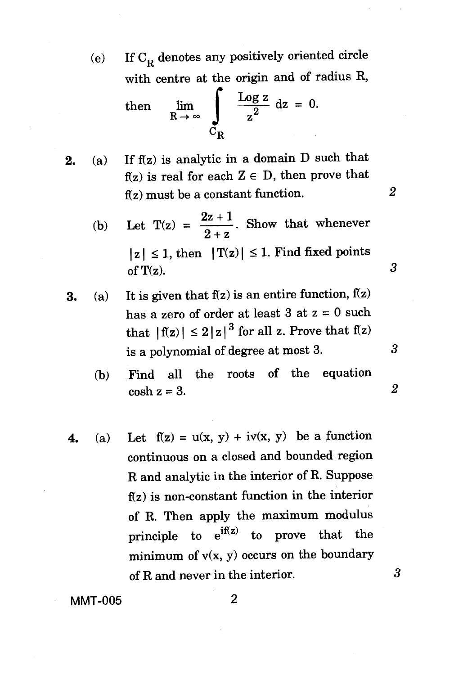(e) If  $C_R$  denotes any positively oriented circle with centre at the origin and of radius R,

then 
$$
\lim_{R \to \infty} \int_{C_R} \frac{\log z}{z^2} dz = 0.
$$

- 2. (a) If  $f(z)$  is analytic in a domain D such that  $f(z)$  is real for each  $Z \in D$ , then prove that  $f(z)$  must be a constant function.
	- (b) Let  $T(z) = \frac{2z+1}{2+z}$ . Show that whenever  $|z| \leq 1$ , then  $|T(z)| \leq 1$ . Find fixed points of  $T(z)$ .

2

3

3

 $\overline{2}$ 

3

- 3. (a) It is given that  $f(z)$  is an entire function,  $f(z)$ has a zero of order at least  $3$  at  $z = 0$  such that  $|f(z)| \leq 2|z|^3$  for all z. Prove that  $f(z)$ is a polynomial of degree at most 3.
	- (b) Find all the roots of the equation  $\cosh z = 3$ .
- 4. (a) Let  $f(z) = u(x, y) + iv(x, y)$  be a function continuous on a closed and bounded region R and analytic in the interior of R. Suppose  $f(z)$  is non-constant function in the interior of R. Then apply the maximum modulus principle to  $e^{if(z)}$  to prove that the minimum of  $v(x, y)$  occurs on the boundary of R and never in the interior.

MMT-005 2